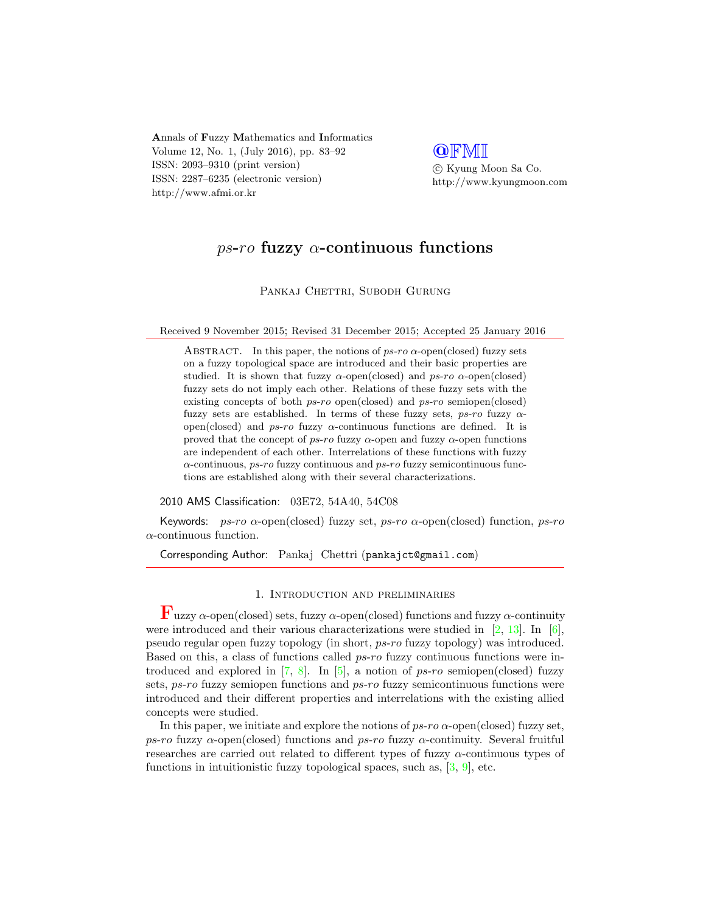Annals of Fuzzy Mathematics and Informatics Volume 12, No. 1, (July 2016), pp. 83–92 ISSN: 2093–9310 (print version) ISSN: 2287–6235 (electronic version) http://www.afmi.or.kr

**QFMI** c Kyung Moon Sa Co.

http://www.kyungmoon.com

# ps-ro fuzzy  $\alpha$ -continuous functions

PANKAJ CHETTRI, SUBODH GURUNG

Received 9 November 2015; Revised 31 December 2015; Accepted 25 January 2016

ABSTRACT. In this paper, the notions of  $ps\text{-}ro$   $\alpha$ -open(closed) fuzzy sets on a fuzzy topological space are introduced and their basic properties are studied. It is shown that fuzzy  $\alpha$ -open(closed) and ps-ro  $\alpha$ -open(closed) fuzzy sets do not imply each other. Relations of these fuzzy sets with the existing concepts of both ps-ro open(closed) and ps-ro semiopen(closed) fuzzy sets are established. In terms of these fuzzy sets,  $ps-ro$  fuzzy  $\alpha$ open(closed) and ps-ro fuzzy  $\alpha$ -continuous functions are defined. It is proved that the concept of  $ps-ro$  fuzzy  $\alpha$ -open and fuzzy  $\alpha$ -open functions are independent of each other. Interrelations of these functions with fuzzy  $\alpha$ -continuous, ps-ro fuzzy continuous and ps-ro fuzzy semicontinuous functions are established along with their several characterizations.

2010 AMS Classification: 03E72, 54A40, 54C08

Keywords:  $ps\text{-}ro \alpha\text{-open}(closed)$  fuzzy set,  $ps\text{-}ro \alpha\text{-open}(closed)$  function,  $ps\text{-}ro$  $\alpha$ -continuous function.

Corresponding Author: Pankaj Chettri (pankajct@gmail.com)

## 1. Introduction and preliminaries

 $\mathbf{F}_{\text{uzzv}}$   $\alpha$ -open(closed) sets, fuzzy  $\alpha$ -open(closed) functions and fuzzy  $\alpha$ -continuity were introduced and their various characterizations were studied in [\[2,](#page-8-0) [13\]](#page-9-0). In [\[6\]](#page-8-1), pseudo regular open fuzzy topology (in short, ps-ro fuzzy topology) was introduced. Based on this, a class of functions called ps-ro fuzzy continuous functions were introduced and explored in  $[7, 8]$  $[7, 8]$  $[7, 8]$ . In  $[5]$ , a notion of ps-ro semiopen(closed) fuzzy sets, ps-ro fuzzy semiopen functions and ps-ro fuzzy semicontinuous functions were introduced and their different properties and interrelations with the existing allied concepts were studied.

In this paper, we initiate and explore the notions of  $ps\text{-}ro$   $\alpha$ -open(closed) fuzzy set, ps-ro fuzzy  $\alpha$ -open(closed) functions and ps-ro fuzzy  $\alpha$ -continuity. Several fruitful researches are carried out related to different types of fuzzy  $\alpha$ -continuous types of functions in intuitionistic fuzzy topological spaces, such as,  $[3, 9]$  $[3, 9]$  $[3, 9]$ , etc.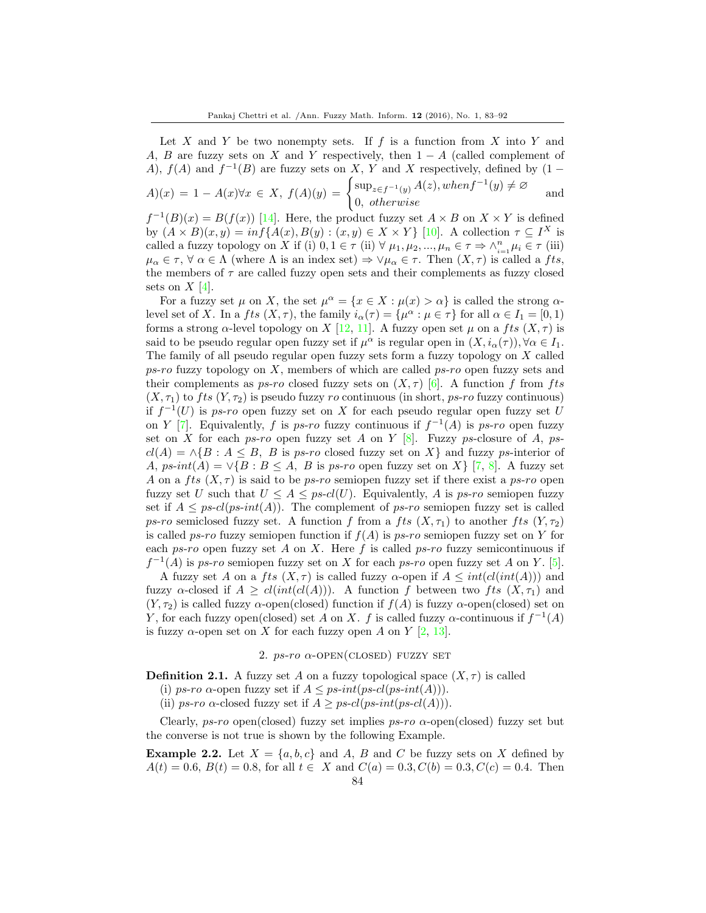Let X and Y be two nonempty sets. If  $f$  is a function from X into Y and A, B are fuzzy sets on X and Y respectively, then  $1 - A$  (called complement of A),  $f(A)$  and  $f^{-1}(B)$  are fuzzy sets on X, Y and X respectively, defined by  $(1 \overline{1}$ 

$$
A)(x) = 1 - A(x)\forall x \in X, f(A)(y) = \begin{cases} \sup_{z \in f^{-1}(y)} A(z), when f^{-1}(y) \neq \emptyset \\ 0, otherwise \end{cases}
$$
 and

 $f^{-1}(B)(x) = B(f(x))$  [\[14\]](#page-9-1). Here, the product fuzzy set  $A \times B$  on  $X \times Y$  is defined by  $(A \times B)(x, y) = inf{A(x), B(y) : (x, y) \in X \times Y}$  [\[10\]](#page-8-7). A collection  $\tau \subseteq I^X$  is called a fuzzy topology on X if (i)  $0, 1 \in \tau$  (ii)  $\forall \mu_1, \mu_2, ..., \mu_n \in \tau \Rightarrow \wedge_{i=1}^n \mu_i \in \tau$  (iii)  $\mu_{\alpha} \in \tau$ ,  $\forall \alpha \in \Lambda$  (where  $\Lambda$  is an index set)  $\Rightarrow \forall \mu_{\alpha} \in \tau$ . Then  $(X, \tau)$  is called a fts, the members of  $\tau$  are called fuzzy open sets and their complements as fuzzy closed sets on  $X$  [\[4\]](#page-8-8).

For a fuzzy set  $\mu$  on X, the set  $\mu^{\alpha} = \{x \in X : \mu(x) > \alpha\}$  is called the strong  $\alpha$ level set of X. In a fts  $(X, \tau)$ , the family  $i_{\alpha}(\tau) = {\mu^{\alpha} : \mu \in \tau}$  for all  $\alpha \in I_1 = [0, 1)$ forms a strong  $\alpha$ -level topology on X [\[12,](#page-9-2) [11\]](#page-9-3). A fuzzy open set  $\mu$  on a fts  $(X, \tau)$  is said to be pseudo regular open fuzzy set if  $\mu^{\alpha}$  is regular open in  $(X, i_{\alpha}(\tau)), \forall \alpha \in I_1$ . The family of all pseudo regular open fuzzy sets form a fuzzy topology on X called  $p\mathfrak{s}$ -ro fuzzy topology on X, members of which are called  $p\mathfrak{s}$ -ro open fuzzy sets and their complements as ps-ro closed fuzzy sets on  $(X, \tau)$  [\[6\]](#page-8-1). A function f from fts  $(X, \tau_1)$  to fts  $(Y, \tau_2)$  is pseudo fuzzy ro continuous (in short, ps-ro fuzzy continuous) if  $f^{-1}(U)$  is ps-ro open fuzzy set on X for each pseudo regular open fuzzy set U on Y [\[7\]](#page-8-2). Equivalently, f is ps-ro fuzzy continuous if  $f^{-1}(A)$  is ps-ro open fuzzy set on X for each ps-ro open fuzzy set A on Y  $[8]$ . Fuzzy ps-closure of A, ps $cl(A) = \wedge \{B : A \leq B, B \text{ is } ps\text{-}ro \text{ closed fuzzy set on } X\}$  and fuzzy ps-interior of A, ps-int(A) =  $\vee$ {B : B  $\leq$  A, B is ps-ro open fuzzy set on X} [\[7,](#page-8-2) [8\]](#page-8-3). A fuzzy set A on a fts  $(X, \tau)$  is said to be ps-ro semiopen fuzzy set if there exist a ps-ro open fuzzy set U such that  $U \leq A \leq ps-cl(U)$ . Equivalently, A is ps-ro semiopen fuzzy set if  $A \leq ps\text{-}cl(ps\text{-}int(A))$ . The complement of ps-ro semiopen fuzzy set is called ps-ro semiclosed fuzzy set. A function f from a fts  $(X, \tau_1)$  to another fts  $(Y, \tau_2)$ is called ps-ro fuzzy semiopen function if  $f(A)$  is ps-ro semiopen fuzzy set on Y for each ps-ro open fuzzy set A on X. Here f is called ps-ro fuzzy semicontinuous if  $f^{-1}(A)$  is ps-ro semiopen fuzzy set on X for each ps-ro open fuzzy set A on Y. [\[5\]](#page-8-4).

A fuzzy set A on a fts  $(X, \tau)$  is called fuzzy  $\alpha$ -open if  $A \leq int(cl(int(A)))$  and fuzzy  $\alpha$ -closed if  $A \geq cl(intcl(A)))$ . A function f between two fts  $(X, \tau_1)$  and  $(Y, \tau_2)$  is called fuzzy  $\alpha$ -open(closed) function if  $f(A)$  is fuzzy  $\alpha$ -open(closed) set on Y, for each fuzzy open(closed) set A on X. f is called fuzzy  $\alpha$ -continuous if  $f^{-1}(A)$ is fuzzy  $\alpha$ -open set on X for each fuzzy open A on Y [\[2,](#page-8-0) [13\]](#page-9-0).

### 2.  $ps-ro \alpha$ -OPEN(CLOSED) FUZZY SET

**Definition 2.1.** A fuzzy set A on a fuzzy topological space  $(X, \tau)$  is called

(i) ps-ro  $\alpha$ -open fuzzy set if  $A \leq ps-int(ps-cl(ps-int(A))).$ 

(ii) ps-ro  $\alpha$ -closed fuzzy set if  $A \geq ps$ -cl(ps-int(ps-cl(A))).

Clearly,  $ps-ro$  open(closed) fuzzy set implies  $ps-ro$   $\alpha$ -open(closed) fuzzy set but the converse is not true is shown by the following Example.

<span id="page-1-0"></span>**Example 2.2.** Let  $X = \{a, b, c\}$  and A, B and C be fuzzy sets on X defined by  $A(t) = 0.6, B(t) = 0.8$ , for all  $t \in X$  and  $C(a) = 0.3, C(b) = 0.3, C(c) = 0.4$ . Then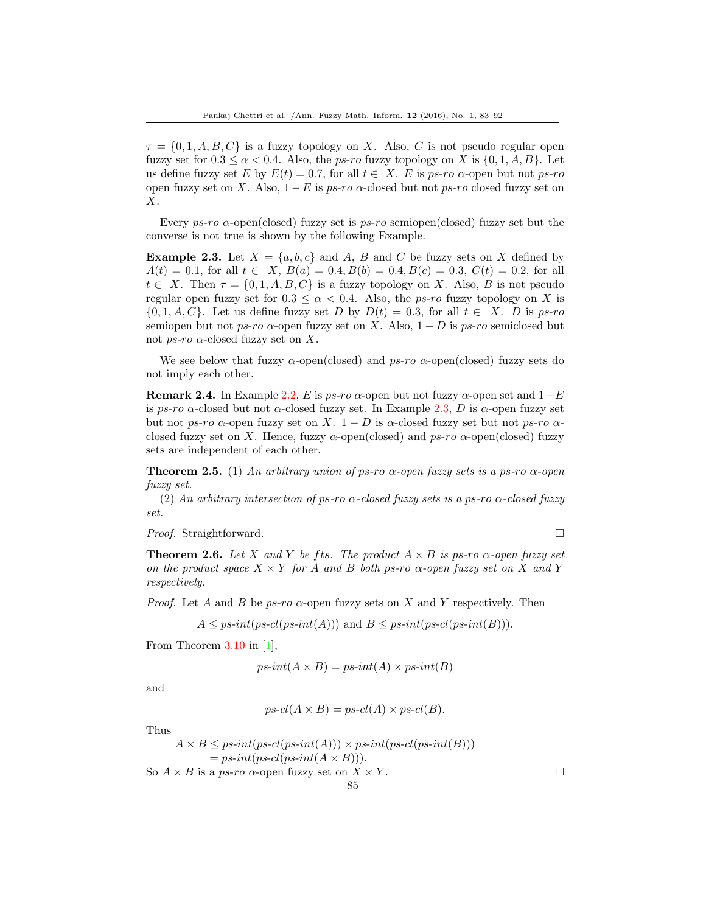$\tau = \{0, 1, A, B, C\}$  is a fuzzy topology on X. Also, C is not pseudo regular open fuzzy set for  $0.3 \leq \alpha \leq 0.4$ . Also, the *ps-ro* fuzzy topology on X is  $\{0, 1, A, B\}$ . Let us define fuzzy set E by  $E(t) = 0.7$ , for all  $t \in X$ . E is ps-ro  $\alpha$ -open but not ps-ro open fuzzy set on X. Also,  $1 - E$  is ps-ro  $\alpha$ -closed but not ps-ro closed fuzzy set on X.

Every  $p<sub>s</sub>$ -ro  $\alpha$ -open(closed) fuzzy set is  $p<sub>s</sub>$ -ro semiopen(closed) fuzzy set but the converse is not true is shown by the following Example.

<span id="page-2-0"></span>**Example 2.3.** Let  $X = \{a, b, c\}$  and A, B and C be fuzzy sets on X defined by  $A(t) = 0.1$ , for all  $t \in X$ ,  $B(a) = 0.4$ ,  $B(b) = 0.4$ ,  $B(c) = 0.3$ ,  $C(t) = 0.2$ , for all  $t \in X$ . Then  $\tau = \{0, 1, A, B, C\}$  is a fuzzy topology on X. Also, B is not pseudo regular open fuzzy set for  $0.3 \leq \alpha < 0.4$ . Also, the *ps-ro* fuzzy topology on X is  $\{0, 1, A, C\}$ . Let us define fuzzy set D by  $D(t) = 0.3$ , for all  $t \in X$ . D is ps-ro semiopen but not ps-ro  $\alpha$ -open fuzzy set on X. Also,  $1 - D$  is ps-ro semiclosed but not *ps-ro*  $\alpha$ -closed fuzzy set on X.

We see below that fuzzy  $\alpha$ -open(closed) and  $ps\text{-}ro$   $\alpha$ -open(closed) fuzzy sets do not imply each other.

**Remark 2.4.** In Example [2.2,](#page-1-0) E is ps-ro  $\alpha$ -open but not fuzzy  $\alpha$ -open set and  $1-E$ is ps-ro  $\alpha$ -closed but not  $\alpha$ -closed fuzzy set. In Example [2.3,](#page-2-0) D is  $\alpha$ -open fuzzy set but not ps-ro  $\alpha$ -open fuzzy set on X. 1 – D is  $\alpha$ -closed fuzzy set but not ps-ro  $\alpha$ closed fuzzy set on X. Hence, fuzzy  $\alpha$ -open(closed) and ps-ro  $\alpha$ -open(closed) fuzzy sets are independent of each other.

**Theorem 2.5.** (1) An arbitrary union of ps-ro  $\alpha$ -open fuzzy sets is a ps-ro  $\alpha$ -open fuzzy set.

(2) An arbitrary intersection of ps-ro  $\alpha$ -closed fuzzy sets is a ps-ro  $\alpha$ -closed fuzzy set.

*Proof.* Straightforward. □

**Theorem 2.6.** Let X and Y be fts. The product  $A \times B$  is ps-ro  $\alpha$ -open fuzzy set on the product space  $X \times Y$  for A and B both ps-ro  $\alpha$ -open fuzzy set on X and Y respectively.

*Proof.* Let A and B be ps-ro  $\alpha$ -open fuzzy sets on X and Y respectively. Then

 $A \leq ps\text{-}int(ps\text{-}cl(ps\text{-}int(A)))$  and  $B \leq ps\text{-}int(ps\text{-}cl(ps\text{-}int(B))).$ 

From Theorem 3.10 in [\[1\]](#page-8-9),

$$
ps\text{-}int(A \times B) = ps\text{-}int(A) \times ps\text{-}int(B)
$$

and

 $ps\text{-}cl(A \times B) = ps\text{-}cl(A) \times ps\text{-}cl(B).$ 

85

Thus

$$
A \times B \leq ps\text{-}int(ps\text{-}id(A))) \times ps\text{-}int(ps\text{-}id(ps\text{-}id(B)))
$$
  
= ps\text{-}int(ps\text{-}id(ps\text{-}id(A \times B))).  
So  $A \times B$  is a ps-ro  $\alpha$ -open fuzzy set on  $X \times Y$ .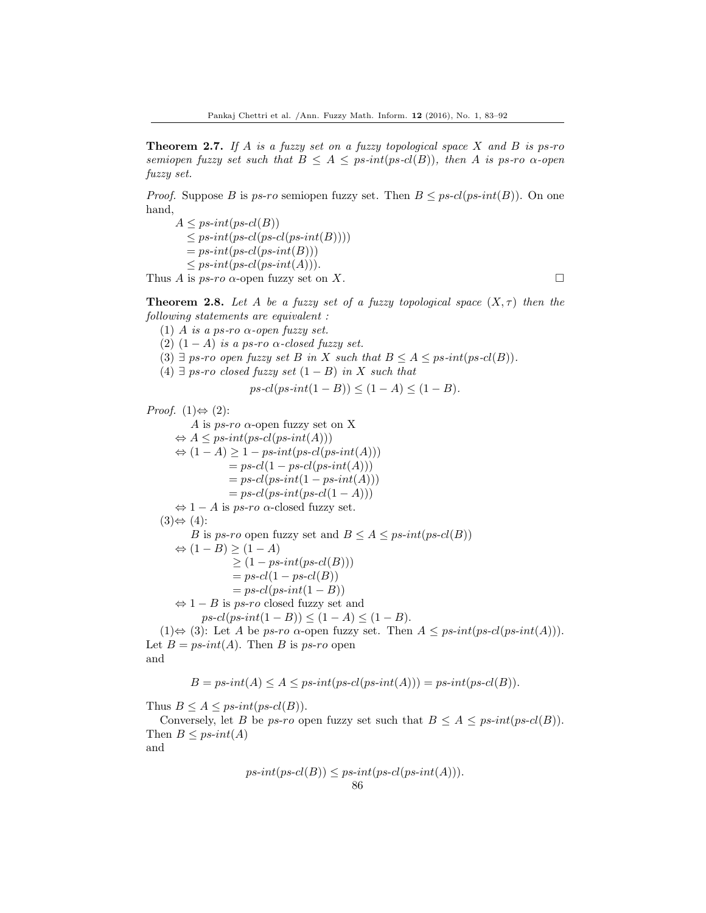**Theorem 2.7.** If A is a fuzzy set on a fuzzy topological space X and B is ps-ro semiopen fuzzy set such that  $B \leq A \leq ps\text{-}int(ps\text{-}cl(B))$ , then A is ps-ro  $\alpha$ -open fuzzy set.

*Proof.* Suppose B is ps-ro semiopen fuzzy set. Then  $B \leq ps \text{-}cl(ps\text{-}int(B))$ . On one hand,

 $A \leq ps\text{-}int(ps\text{-}cl(B))$  $\leq ps\text{-}int(ps\text{-}cl(ps\text{-}int(B))))$  $= ps\text{-}int(ps\text{-}alt(B)))$  $\leq ps\text{-}int(ps\text{-}cl(ps\text{-}int(A))).$ 

Thus A is ps-ro  $\alpha$ -open fuzzy set on X.

**Theorem 2.8.** Let A be a fuzzy set of a fuzzy topological space  $(X, \tau)$  then the following statements are equivalent :

(1) A is a ps-ro  $\alpha$ -open fuzzy set.

(2)  $(1 - A)$  is a ps-ro  $\alpha$ -closed fuzzy set.

(3)  $\exists$  ps-ro open fuzzy set B in X such that  $B \leq A \leq p$ s-int $(ps-cl(B))$ .

(4) ∃ ps-ro closed fuzzy set  $(1 - B)$  in X such that

$$
ps\text{-}cl(ps\text{-}int(1-B)) \leq (1-A) \leq (1-B).
$$

*Proof.*  $(1) \Leftrightarrow (2)$ :

A is  $ps\text{-}ro \alpha$ -open fuzzy set on X  $\Leftrightarrow A \leq ps\text{-}int(ps\text{-}id(A)))$  $\Leftrightarrow (1-A) \geq 1 - ps\text{-}int(ps\text{-}cl(ps\text{-}int(A)))$  $= ps \text{-} cl(1 - ps \text{-} cl(ps \text{-} int(A)))$  $= ps\text{-}cl(ps\text{-}int(1 - ps\text{-}int(A)))$  $= ps\text{-}cl(ps\text{-}int(ps\text{-}cl(1-A)))$  $\Leftrightarrow$  1 – A is ps-ro  $\alpha$ -closed fuzzy set.  $(3) \Leftrightarrow (4)$ : B is ps-ro open fuzzy set and  $B \leq A \leq ps\text{-}int(ps\text{-}cl(B))$  $\Leftrightarrow (1-B) \ge (1-A)$  $\geq (1 - ps\text{-}int(ps\text{-}cl(B)))$  $= ps \text{-} cl(1 - ps \text{-} cl(B))$  $= ps\text{-}cl(ps\text{-}int(1-B))$  $\Leftrightarrow$  1 – B is ps-ro closed fuzzy set and  $ps\text{-}cl(ps\text{-}int(1-B)) < (1-A) < (1-B)$ . (1)⇔ (3): Let A be ps-ro  $\alpha$ -open fuzzy set. Then  $A \leq p \cdot int(p \cdot cl(p \cdot int(A))).$ Let  $B = ps-int(A)$ . Then B is ps-ro open and

$$
B = ps\text{-}int(A) \le A \le ps\text{-}int(ps\text{-}det(A))) = ps\text{-}int(ps\text{-}el(B)).
$$

Thus  $B \leq A \leq ps\text{-}int(ps\text{-}cl(B)).$ 

Conversely, let B be ps-ro open fuzzy set such that  $B \leq A \leq ps\text{-}int(ps\text{-}cl(B)).$ Then  $B \leq ps\text{-}int(A)$ 

and

$$
ps-int(ps-cl(B)) \leq ps-int(ps-cl(ps-int(A))).
$$
  
86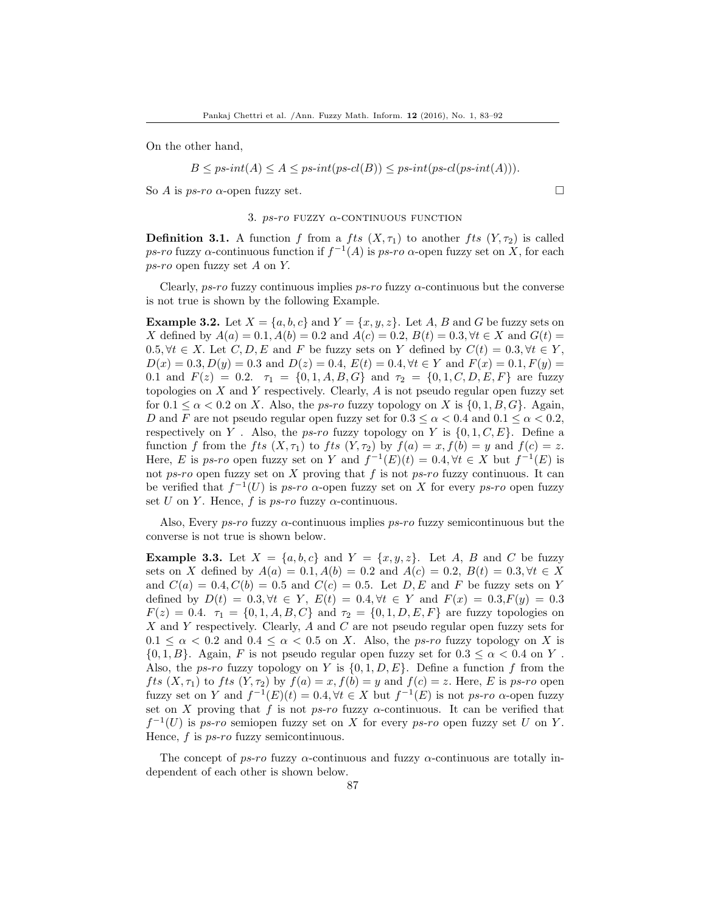On the other hand,

 $B \leq ps\text{-}int(A) \leq A \leq ps\text{-}int(ps\text{-}cl(ps\text{-}alt(ps\text{-}cl(ps\text{-}int(A))).$ 

So A is ps-ro  $\alpha$ -open fuzzy set.

#### 3.  $ps-ro$  FUZZY  $\alpha$ -CONTINUOUS FUNCTION

**Definition 3.1.** A function f from a fts  $(X, \tau_1)$  to another fts  $(Y, \tau_2)$  is called ps-ro fuzzy  $\alpha$ -continuous function if  $f^{-1}(A)$  is ps-ro  $\alpha$ -open fuzzy set on X, for each ps-ro open fuzzy set A on Y.

Clearly,  $ps-ro$  fuzzy continuous implies  $ps-ro$  fuzzy  $\alpha$ -continuous but the converse is not true is shown by the following Example.

<span id="page-4-0"></span>**Example 3.2.** Let  $X = \{a, b, c\}$  and  $Y = \{x, y, z\}$ . Let A, B and G be fuzzy sets on X defined by  $A(a) = 0.1, A(b) = 0.2$  and  $A(c) = 0.2, B(t) = 0.3, \forall t \in X$  and  $G(t) =$  $0.5, \forall t \in X$ . Let  $C, D, E$  and F be fuzzy sets on Y defined by  $C(t) = 0.3, \forall t \in Y$ ,  $D(x) = 0.3, D(y) = 0.3$  and  $D(z) = 0.4, E(t) = 0.4, \forall t \in Y$  and  $F(x) = 0.1, F(y) = 0.4$ 0.1 and  $F(z) = 0.2$ .  $\tau_1 = \{0, 1, A, B, G\}$  and  $\tau_2 = \{0, 1, C, D, E, F\}$  are fuzzy topologies on  $X$  and  $Y$  respectively. Clearly,  $A$  is not pseudo regular open fuzzy set for  $0.1 \leq \alpha < 0.2$  on X. Also, the *ps-ro* fuzzy topology on X is  $\{0, 1, B, G\}$ . Again, D and F are not pseudo regular open fuzzy set for  $0.3 \leq \alpha < 0.4$  and  $0.1 \leq \alpha < 0.2$ , respectively on Y. Also, the ps-ro fuzzy topology on Y is  $\{0, 1, C, E\}$ . Define a function f from the fts  $(X, \tau_1)$  to fts  $(Y, \tau_2)$  by  $f(a) = x, f(b) = y$  and  $f(c) = z$ . Here, E is ps-ro open fuzzy set on Y and  $f^{-1}(E)(t) = 0.4$ ,  $\forall t \in X$  but  $f^{-1}(E)$  is not ps-ro open fuzzy set on X proving that f is not ps-ro fuzzy continuous. It can be verified that  $f^{-1}(U)$  is ps-ro  $\alpha$ -open fuzzy set on X for every ps-ro open fuzzy set U on Y. Hence, f is  $ps\text{-}ro$  fuzzy  $\alpha$ -continuous.

Also, Every  $p\mathcal{S}-r\mathcal{O}$  fuzzy  $\alpha$ -continuous implies  $p\mathcal{S}-r\mathcal{O}$  fuzzy semicontinuous but the converse is not true is shown below.

<span id="page-4-1"></span>**Example 3.3.** Let  $X = \{a, b, c\}$  and  $Y = \{x, y, z\}$ . Let A, B and C be fuzzy sets on X defined by  $A(a) = 0.1, A(b) = 0.2$  and  $A(c) = 0.2, B(t) = 0.3, \forall t \in X$ and  $C(a) = 0.4, C(b) = 0.5$  and  $C(c) = 0.5$ . Let D, E and F be fuzzy sets on Y defined by  $D(t) = 0.3, \forall t \in Y, E(t) = 0.4, \forall t \in Y \text{ and } F(x) = 0.3, F(y) = 0.3$  $F(z) = 0.4$ .  $\tau_1 = \{0, 1, A, B, C\}$  and  $\tau_2 = \{0, 1, D, E, F\}$  are fuzzy topologies on X and Y respectively. Clearly, A and C are not pseudo regular open fuzzy sets for  $0.1 \leq \alpha < 0.2$  and  $0.4 \leq \alpha < 0.5$  on X. Also, the *ps-ro* fuzzy topology on X is  $\{0, 1, B\}$ . Again, F is not pseudo regular open fuzzy set for  $0.3 < \alpha < 0.4$  on Y. Also, the ps-ro fuzzy topology on Y is  $\{0, 1, D, E\}$ . Define a function f from the fts  $(X, \tau_1)$  to fts  $(Y, \tau_2)$  by  $f(a) = x, f(b) = y$  and  $f(c) = z$ . Here, E is ps-ro open fuzzy set on Y and  $f^{-1}(E)(t) = 0.4, \forall t \in X$  but  $f^{-1}(E)$  is not ps-ro  $\alpha$ -open fuzzy set on X proving that f is not ps-ro fuzzy  $\alpha$ -continuous. It can be verified that  $f^{-1}(U)$  is ps-ro semiopen fuzzy set on X for every ps-ro open fuzzy set U on Y. Hence,  $f$  is  $ps-ro$  fuzzy semicontinuous.

The concept of ps-ro fuzzy  $\alpha$ -continuous and fuzzy  $\alpha$ -continuous are totally independent of each other is shown below.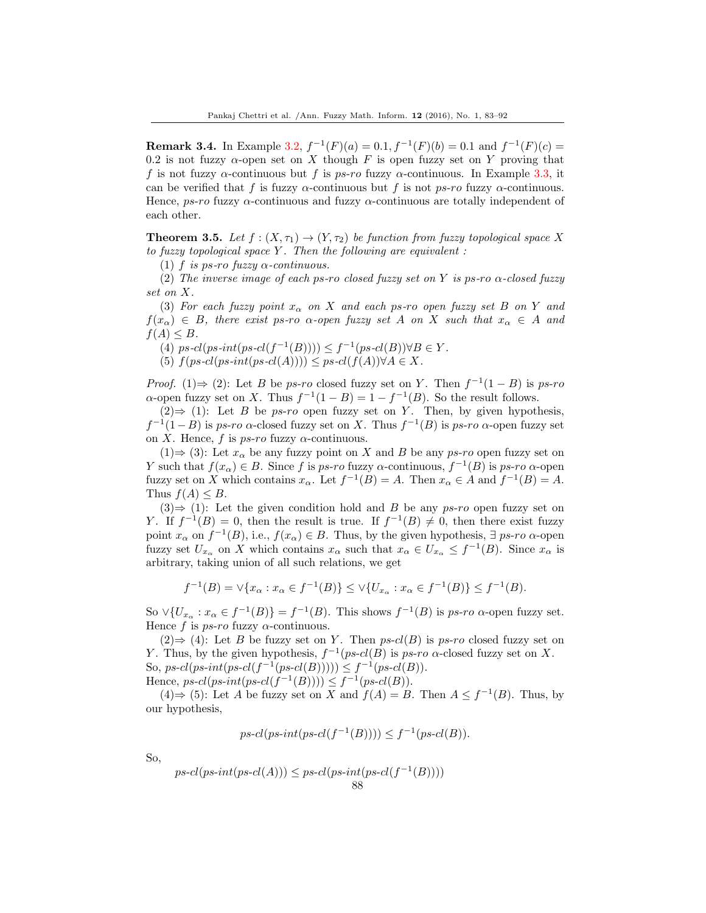**Remark 3.4.** In Example [3.2,](#page-4-0)  $f^{-1}(F)(a) = 0.1, f^{-1}(F)(b) = 0.1$  and  $f^{-1}(F)(c) =$ 0.2 is not fuzzy  $\alpha$ -open set on X though F is open fuzzy set on Y proving that f is not fuzzy  $\alpha$ -continuous but f is ps-ro fuzzy  $\alpha$ -continuous. In Example [3.3,](#page-4-1) it can be verified that f is fuzzy  $\alpha$ -continuous but f is not ps-ro fuzzy  $\alpha$ -continuous. Hence, ps-ro fuzzy  $\alpha$ -continuous and fuzzy  $\alpha$ -continuous are totally independent of each other.

**Theorem 3.5.** Let  $f : (X, \tau_1) \to (Y, \tau_2)$  be function from fuzzy topological space X to fuzzy topological space  $Y$ . Then the following are equivalent :

(1) f is ps-ro fuzzy  $\alpha$ -continuous.

(2) The inverse image of each ps-ro closed fuzzy set on Y is ps-ro  $\alpha$ -closed fuzzy set on X.

(3) For each fuzzy point  $x_{\alpha}$  on X and each ps-ro open fuzzy set B on Y and  $f(x_\alpha) \in B$ , there exist ps-ro  $\alpha$ -open fuzzy set A on X such that  $x_\alpha \in A$  and  $f(A) \leq B$ .

(4)  $ps\text{-}cl(ps\text{-}int(ps\text{-}l(f^{-1}(B)))) \leq f^{-1}(ps\text{-}cl(B)) \forall B \in Y$ .

(5)  $f(ps\text{-}cl(ps\text{-}alt(ps\text{-}cl(A)))) \leq ps\text{-}cl(f(A)) \forall A \in X.$ 

*Proof.* (1)  $\Rightarrow$  (2): Let B be ps-ro closed fuzzy set on Y. Then  $f^{-1}(1 - B)$  is ps-ro  $\alpha$ -open fuzzy set on X. Thus  $f^{-1}(1-B) = 1 - f^{-1}(B)$ . So the result follows.

 $(2)$   $\Rightarrow$  (1): Let *B* be *ps-ro* open fuzzy set on *Y*. Then, by given hypothesis,  $f^{-1}(1-B)$  is ps-ro  $\alpha$ -closed fuzzy set on X. Thus  $f^{-1}(B)$  is ps-ro  $\alpha$ -open fuzzy set on X. Hence, f is ps-ro fuzzy  $\alpha$ -continuous.

 $(1) \Rightarrow (3)$ : Let  $x_{\alpha}$  be any fuzzy point on X and B be any ps-ro open fuzzy set on Y such that  $f(x_\alpha) \in B$ . Since f is ps-ro fuzzy  $\alpha$ -continuous,  $f^{-1}(B)$  is ps-ro  $\alpha$ -open fuzzy set on X which contains  $x_{\alpha}$ . Let  $f^{-1}(B) = A$ . Then  $x_{\alpha} \in A$  and  $f^{-1}(B) = A$ . Thus  $f(A) \leq B$ .

 $(3) \Rightarrow (1)$ : Let the given condition hold and B be any ps-ro open fuzzy set on Y. If  $f^{-1}(B) = 0$ , then the result is true. If  $f^{-1}(B) \neq 0$ , then there exist fuzzy point  $x_\alpha$  on  $f^{-1}(B)$ , i.e.,  $f(x_\alpha) \in B$ . Thus, by the given hypothesis,  $\exists$  ps-ro  $\alpha$ -open fuzzy set  $U_{x_\alpha}$  on X which contains  $x_\alpha$  such that  $x_\alpha \in U_{x_\alpha} \leq f^{-1}(B)$ . Since  $x_\alpha$  is arbitrary, taking union of all such relations, we get

$$
f^{-1}(B) = \vee \{x_{\alpha} : x_{\alpha} \in f^{-1}(B)\} \le \vee \{U_{x_{\alpha}} : x_{\alpha} \in f^{-1}(B)\} \le f^{-1}(B).
$$

So  $\vee \{U_{x_\alpha}: x_\alpha \in f^{-1}(B)\} = f^{-1}(B)$ . This shows  $f^{-1}(B)$  is ps-ro  $\alpha$ -open fuzzy set. Hence f is  $ps\text{-}ro$  fuzzy  $\alpha$ -continuous.

 $(2)$   $\Rightarrow$  (4): Let *B* be fuzzy set on *Y*. Then *ps-cl*(*B*) is *ps-ro* closed fuzzy set on Y. Thus, by the given hypothesis,  $f^{-1}(ps-cl(B)$  is  $ps-ro \alpha$ -closed fuzzy set on X. So,  $ps\text{-}cl(ps\text{-}int(ps\text{-}l(f^{-1}(ps\text{-}cl(B)))) \leq f^{-1}(ps\text{-}cl(B)).$ Hence,  $ps\text{-}cl(ps\text{-}int(ps\text{-}l(f^{-1}(B)))) \leq f^{-1}(ps\text{-}cl(B)).$ 

 $(4)$  ⇒ (5): Let A be fuzzy set on X and  $f(A) = B$ . Then  $A \leq f^{-1}(B)$ . Thus, by our hypothesis,

$$
ps\text{-}cl(ps\text{-}int(ps\text{-}cl(f^{-1}(B)))) \leq f^{-1}(ps\text{-}cl(B)).
$$

So,

$$
ps\text{-}cl(ps\text{-}int(ps\text{-}cl(A))) \leq ps\text{-}cl(ps\text{-}int(ps\text{-}cl(f^{-1}(B))))
$$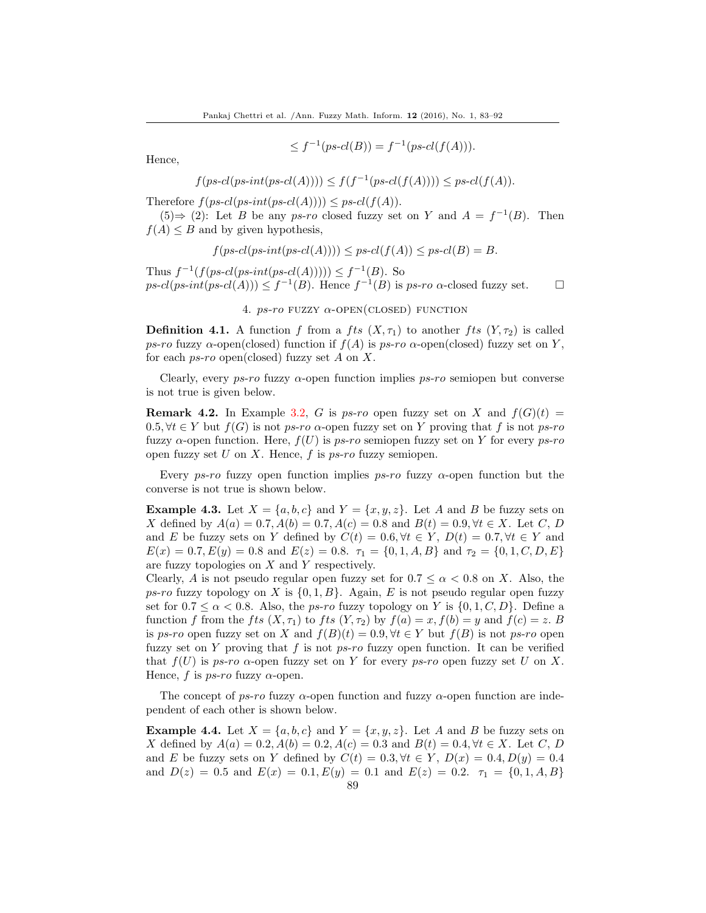$\leq f^{-1}(ps\text{-}cl(B)) = f^{-1}(ps\text{-}cl(f(A))).$ 

Hence,

$$
f(ps\text{-}cl(ps\text{-}int(ps\text{-}cl(A)))) \leq f(f^{-1}(ps\text{-}cl(f(A)))) \leq ps\text{-}cl(f(A)).
$$

Therefore  $f(ps-cl(ps-irl(s-cl(A)))) \leq ps-cl(f(A)).$ 

 $(5) \Rightarrow (2)$ : Let B be any ps-ro closed fuzzy set on Y and  $A = f^{-1}(B)$ . Then  $f(A) \leq B$  and by given hypothesis,

$$
f(ps\text{-}cl(ps\text{-}int(ps\text{-}cl(A)))) \leq ps\text{-}cl(f(A)) \leq ps\text{-}cl(B) = B.
$$

Thus  $f^{-1}(f(ps\text{-}cl(ps\text{-}int(ps\text{-}cl(A)))) \leq f^{-1}(B)$ . So  $ps\text{-}cl(ps\text{-}int(ps\text{-}l(A))) \leq f^{-1}(B)$ . Hence  $f^{-1}(B)$  is  $ps\text{-}ro$   $\alpha$ -closed fuzzy set.  $\square$ 

4.  $ps\text{-}ro$  FUZZY  $\alpha$ -OPEN(CLOSED) FUNCTION

**Definition 4.1.** A function f from a fts  $(X, \tau_1)$  to another fts  $(Y, \tau_2)$  is called ps-ro fuzzy  $\alpha$ -open(closed) function if  $f(A)$  is ps-ro  $\alpha$ -open(closed) fuzzy set on Y, for each  $ps\text{-}ro$  open(closed) fuzzy set A on X.

Clearly, every  $ps\text{-}ro$  fuzzy  $\alpha$ -open function implies  $ps\text{-}ro$  semiopen but converse is not true is given below.

**Remark 4.2.** In Example [3.2,](#page-4-0) G is ps-ro open fuzzy set on X and  $f(G)(t) =$  $0.5, \forall t \in Y$  but  $f(G)$  is not ps-ro  $\alpha$ -open fuzzy set on Y proving that f is not ps-ro fuzzy  $\alpha$ -open function. Here,  $f(U)$  is ps-ro semiopen fuzzy set on Y for every ps-ro open fuzzy set  $U$  on  $X$ . Hence,  $f$  is  $ps\text{-}ro$  fuzzy semiopen.

Every ps-ro fuzzy open function implies ps-ro fuzzy  $\alpha$ -open function but the converse is not true is shown below.

**Example 4.3.** Let  $X = \{a, b, c\}$  and  $Y = \{x, y, z\}$ . Let A and B be fuzzy sets on X defined by  $A(a) = 0.7, A(b) = 0.7, A(c) = 0.8$  and  $B(t) = 0.9, \forall t \in X$ . Let C, D and E be fuzzy sets on Y defined by  $C(t) = 0.6, \forall t \in Y$ ,  $D(t) = 0.7, \forall t \in Y$  and  $E(x) = 0.7, E(y) = 0.8$  and  $E(z) = 0.8$ .  $\tau_1 = \{0, 1, A, B\}$  and  $\tau_2 = \{0, 1, C, D, E\}$ are fuzzy topologies on X and Y respectively.

Clearly, A is not pseudo regular open fuzzy set for  $0.7 \leq \alpha < 0.8$  on X. Also, the ps-ro fuzzy topology on X is  $\{0, 1, B\}$ . Again, E is not pseudo regular open fuzzy set for  $0.7 \le \alpha < 0.8$ . Also, the *ps-ro* fuzzy topology on Y is  $\{0, 1, C, D\}$ . Define a function f from the fts  $(X, \tau_1)$  to fts  $(Y, \tau_2)$  by  $f(a) = x, f(b) = y$  and  $f(c) = z$ . B is ps-ro open fuzzy set on X and  $f(B)(t) = 0.9, \forall t \in Y$  but  $f(B)$  is not ps-ro open fuzzy set on Y proving that f is not ps-ro fuzzy open function. It can be verified that  $f(U)$  is ps-ro  $\alpha$ -open fuzzy set on Y for every ps-ro open fuzzy set U on X. Hence, f is  $ps\text{-}ro$  fuzzy  $\alpha$ -open.

The concept of ps-ro fuzzy  $\alpha$ -open function and fuzzy  $\alpha$ -open function are independent of each other is shown below.

**Example 4.4.** Let  $X = \{a, b, c\}$  and  $Y = \{x, y, z\}$ . Let A and B be fuzzy sets on X defined by  $A(a) = 0.2$ ,  $A(b) = 0.2$ ,  $A(c) = 0.3$  and  $B(t) = 0.4$ ,  $\forall t \in X$ . Let C, D and E be fuzzy sets on Y defined by  $C(t) = 0.3, \forall t \in Y$ ,  $D(x) = 0.4, D(y) = 0.4$ and  $D(z) = 0.5$  and  $E(x) = 0.1$ ,  $E(y) = 0.1$  and  $E(z) = 0.2$ .  $\tau_1 = \{0, 1, A, B\}$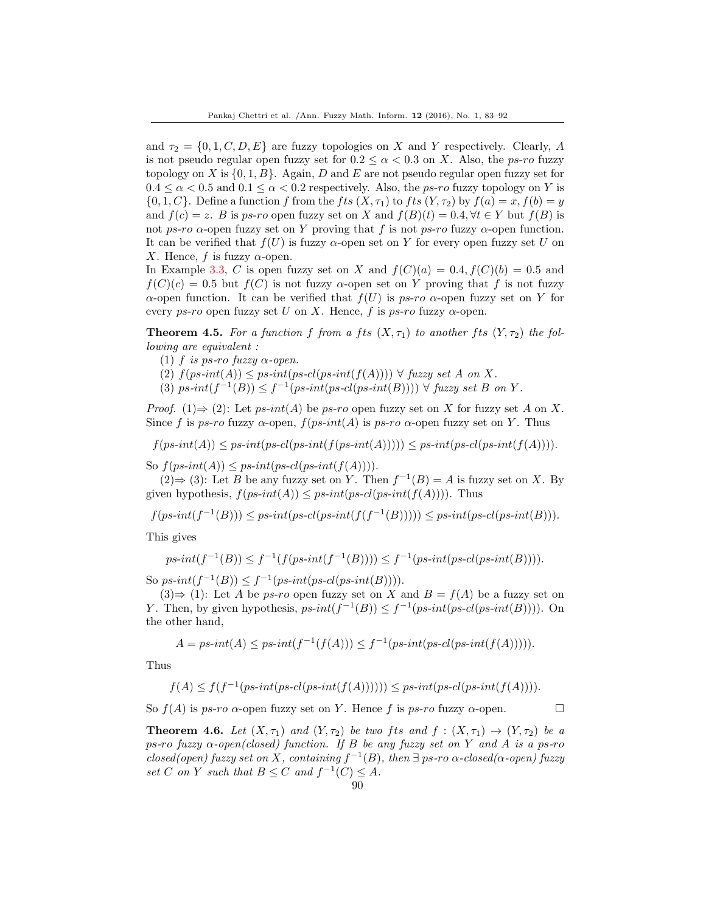and  $\tau_2 = \{0, 1, C, D, E\}$  are fuzzy topologies on X and Y respectively. Clearly, A is not pseudo regular open fuzzy set for  $0.2 \le \alpha \le 0.3$  on X. Also, the ps-ro fuzzy topology on X is  $\{0, 1, B\}$ . Again, D and E are not pseudo regular open fuzzy set for  $0.4 \leq \alpha < 0.5$  and  $0.1 \leq \alpha < 0.2$  respectively. Also, the *ps-ro* fuzzy topology on Y is  $\{0, 1, C\}$ . Define a function f from the fts  $(X, \tau_1)$  to fts  $(Y, \tau_2)$  by  $f(a) = x, f(b) = y$ and  $f(c) = z$ . B is ps-ro open fuzzy set on X and  $f(B)(t) = 0.4$ ,  $\forall t \in Y$  but  $f(B)$  is not ps-ro  $\alpha$ -open fuzzy set on Y proving that f is not ps-ro fuzzy  $\alpha$ -open function. It can be verified that  $f(U)$  is fuzzy  $\alpha$ -open set on Y for every open fuzzy set U on X. Hence, f is fuzzy  $\alpha$ -open.

In Example [3.3,](#page-4-1) C is open fuzzy set on X and  $f(C)(a) = 0.4$ ,  $f(C)(b) = 0.5$  and  $f(C)(c) = 0.5$  but  $f(C)$  is not fuzzy  $\alpha$ -open set on Y proving that f is not fuzzy α-open function. It can be verified that  $f(U)$  is ps-ro α-open fuzzy set on Y for every ps-ro open fuzzy set U on X. Hence, f is ps-ro fuzzy  $\alpha$ -open.

**Theorem 4.5.** For a function f from a fts  $(X, \tau_1)$  to another fts  $(Y, \tau_2)$  the following are equivalent :

- (1) f is ps-ro fuzzy  $\alpha$ -open.
- (2)  $f(ps-int(A)) \leq ps-int(ps-cl(ps-int(f(A)))) \forall fuzzy set A on X.$
- (3)  $ps-int(f^{-1}(B)) \leq f^{-1}(ps-int(ps-cl(ps-int(B)))) \forall fuzzy set B on Y.$

*Proof.* (1) $\Rightarrow$  (2): Let ps-int(A) be ps-ro open fuzzy set on X for fuzzy set A on X. Since f is ps-ro fuzzy  $\alpha$ -open,  $f(ps-int(A))$  is ps-ro  $\alpha$ -open fuzzy set on Y. Thus

 $f(ps-int(A)) \leq ps-int(ps-int(f(ps-int(A)))) \leq ps-int(ps-int(f(A)))).$ 

So  $f(ps-int(A)) \leq ps-int(ps-int(f(A))))$ .

 $(2)$  ⇒ (3): Let *B* be any fuzzy set on *Y*. Then  $f^{-1}(B) = A$  is fuzzy set on *X*. By given hypothesis,  $f(ps-int(A)) \leq ps-int(ps-cl(ps-int(f(A))))$ . Thus

 $f(ps-int(f^{-1}(B))) \leq ps-int(ps-cl(ps-int(f(f^{-1}(B)))) \leq ps-int(ps-cl(ps-int(B))).$ 

This gives

$$
ps\text{-}int(f^{-1}(B)) \le f^{-1}(f(ps\text{-}int(f^{-1}(B)))) \le f^{-1}(ps\text{-}int(ps\text{-}det(p^{-1}(B)))).
$$

So  $ps\text{-}int(f^{-1}(B)) \leq f^{-1}(ps\text{-}int(ps\text{-}cl(ps\text{-}int(B)))).$ 

 $(3) \Rightarrow (1)$ : Let A be *ps-ro* open fuzzy set on X and  $B = f(A)$  be a fuzzy set on Y. Then, by given hypothesis,  $ps\text{-}int(f^{-1}(B)) \leq f^{-1}(ps\text{-}int(ps\text{-}int(B))))$ . On the other hand,

$$
A = ps\text{-}int(A) \le ps\text{-}int(f^{-1}(f(A))) \le f^{-1}(ps\text{-}int(ps\text{-}det(f(A))))).
$$

Thus

$$
f(A) \le f(f^{-1}(ps\text{-}int(ps\text{-}int(f(A)))))) \le ps\text{-}int(ps\text{-}det(f(A)))).
$$

So  $f(A)$  is ps-ro  $\alpha$ -open fuzzy set on Y. Hence f is ps-ro fuzzy  $\alpha$ -open.

<span id="page-7-0"></span>**Theorem 4.6.** Let  $(X, \tau_1)$  and  $(Y, \tau_2)$  be two fts and  $f : (X, \tau_1) \rightarrow (Y, \tau_2)$  be a ps-ro fuzzy  $\alpha$ -open(closed) function. If B be any fuzzy set on Y and A is a ps-ro closed(open) fuzzy set on X, containing  $f^{-1}(B)$ , then  $\exists$  ps-ro  $\alpha$ -closed( $\alpha$ -open) fuzzy set C on Y such that  $B \leq C$  and  $f^{-1}(C) \leq A$ .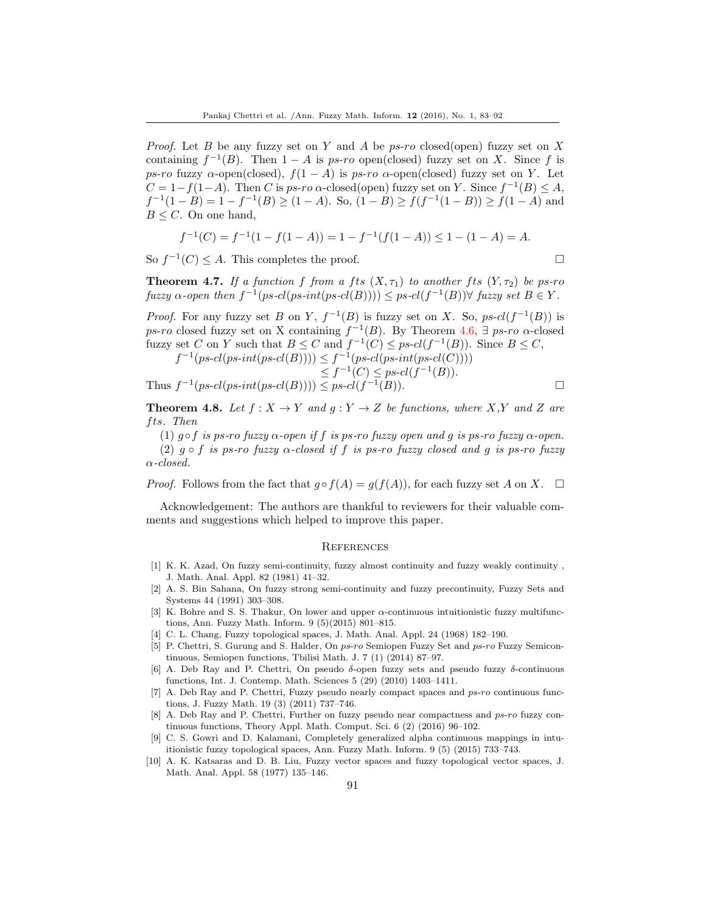*Proof.* Let B be any fuzzy set on Y and A be  $ps\text{-}ro$  closed(open) fuzzy set on X containing  $f^{-1}(B)$ . Then  $1-A$  is ps-ro open(closed) fuzzy set on X. Since f is ps-ro fuzzy  $\alpha$ -open(closed),  $f(1-A)$  is ps-ro  $\alpha$ -open(closed) fuzzy set on Y. Let  $C = 1 - f(1-A)$ . Then C is ps-ro  $\alpha$ -closed(open) fuzzy set on Y. Since  $f^{-1}(B) \leq A$ ,  $f^{-1}(1-B) = 1 - f^{-1}(B) \ge (1-A)$ . So,  $(1-B) \ge f(f^{-1}(1-B)) \ge f(1-A)$  and  $B \leq C$ . On one hand,

$$
f^{-1}(C) = f^{-1}(1 - f(1 - A)) = 1 - f^{-1}(f(1 - A)) \le 1 - (1 - A) = A.
$$

So  $f^{-1}(C) \leq A$ . This completes the proof.

**Theorem 4.7.** If a function f from a fts  $(X, \tau_1)$  to another fts  $(Y, \tau_2)$  be ps-ro  $fuzzy \alpha\text{-}open then f^{-1}(ps\text{-}cl(ps\text{-}int(ps\text{-}cl(B)))) \leq ps\text{-}cl(f^{-1}(B)) \forall \text{ fuzzy set } B \in Y.$ 

*Proof.* For any fuzzy set B on Y,  $f^{-1}(B)$  is fuzzy set on X. So,  $ps-cl(f^{-1}(B))$  is ps-ro closed fuzzy set on X containing  $f^{-1}(B)$ . By Theorem [4.6,](#page-7-0)  $\exists$  ps-ro  $\alpha$ -closed fuzzy set C on Y such that  $B \leq C$  and  $f^{-1}(C) \leq ps \cdot cl(f^{-1}(B))$ . Since  $B \leq C$ ,

$$
f^{-1}(ps\text{-}cl(ps\text{-}int(ps\text{-}cl(B)))) \leq f^{-1}(ps\text{-}cl(ps\text{-}int(ps\text{-}cl(C))))
$$
  
\n
$$
\leq f^{-1}(C) \leq ps\text{-}cl(f^{-1}(B)).
$$
  
\nThus  $f^{-1}(ps\text{-}cl(ps\text{-}int(ps\text{-}cl(B)))) \leq ps\text{-}cl(f^{-1}(B)).$ 

**Theorem 4.8.** Let  $f: X \to Y$  and  $g: Y \to Z$  be functions, where X,Y and Z are fts. Then

(1) g  $\circ$  f is ps-ro fuzzy  $\alpha$ -open if f is ps-ro fuzzy open and g is ps-ro fuzzy  $\alpha$ -open.

(2)  $g \circ f$  is ps-ro fuzzy  $\alpha$ -closed if f is ps-ro fuzzy closed and g is ps-ro fuzzy α-closed.

*Proof.* Follows from the fact that  $g \circ f(A) = g(f(A))$ , for each fuzzy set A on X.  $\Box$ 

Acknowledgement: The authors are thankful to reviewers for their valuable comments and suggestions which helped to improve this paper.

### **REFERENCES**

- <span id="page-8-9"></span>[1] K. K. Azad, On fuzzy semi-continuity, fuzzy almost continuity and fuzzy weakly continuity , J. Math. Anal. Appl. 82 (1981) 41–32.
- <span id="page-8-0"></span>[2] A. S. Bin Sahana, On fuzzy strong semi-continuity and fuzzy precontinuity, Fuzzy Sets and Systems 44 (1991) 303–308.
- <span id="page-8-5"></span>[3] K. Bohre and S. S. Thakur, On lower and upper  $\alpha$ -continuous intuitionistic fuzzy multifunctions, Ann. Fuzzy Math. Inform. 9 (5)(2015) 801–815.
- <span id="page-8-8"></span>[4] C. L. Chang, Fuzzy topological spaces, J. Math. Anal. Appl. 24 (1968) 182–190.
- <span id="page-8-4"></span>[5] P. Chettri, S. Gurung and S. Halder, On ps-ro Semiopen Fuzzy Set and ps-ro Fuzzy Semicontinuous, Semiopen functions, Tbilisi Math. J. 7 (1) (2014) 87–97.
- <span id="page-8-1"></span>[6] A. Deb Ray and P. Chettri, On pseudo  $\delta$ -open fuzzy sets and pseudo fuzzy  $\delta$ -continuous functions, Int. J. Contemp. Math. Sciences 5 (29) (2010) 1403–1411.
- <span id="page-8-2"></span>[7] A. Deb Ray and P. Chettri, Fuzzy pseudo nearly compact spaces and ps-ro continuous functions, J. Fuzzy Math. 19 (3) (2011) 737–746.
- <span id="page-8-3"></span>[8] A. Deb Ray and P. Chettri, Further on fuzzy pseudo near compactness and ps-ro fuzzy continuous functions, Theory Appl. Math. Comput. Sci. 6 (2) (2016) 96–102.
- <span id="page-8-6"></span>[9] C. S. Gowri and D. Kalamani, Completely generalized alpha continuous mappings in intuitionistic fuzzy topological spaces, Ann. Fuzzy Math. Inform. 9 (5) (2015) 733–743.
- <span id="page-8-7"></span>[10] A. K. Katsaras and D. B. Liu, Fuzzy vector spaces and fuzzy topological vector spaces, J. Math. Anal. Appl. 58 (1977) 135–146.